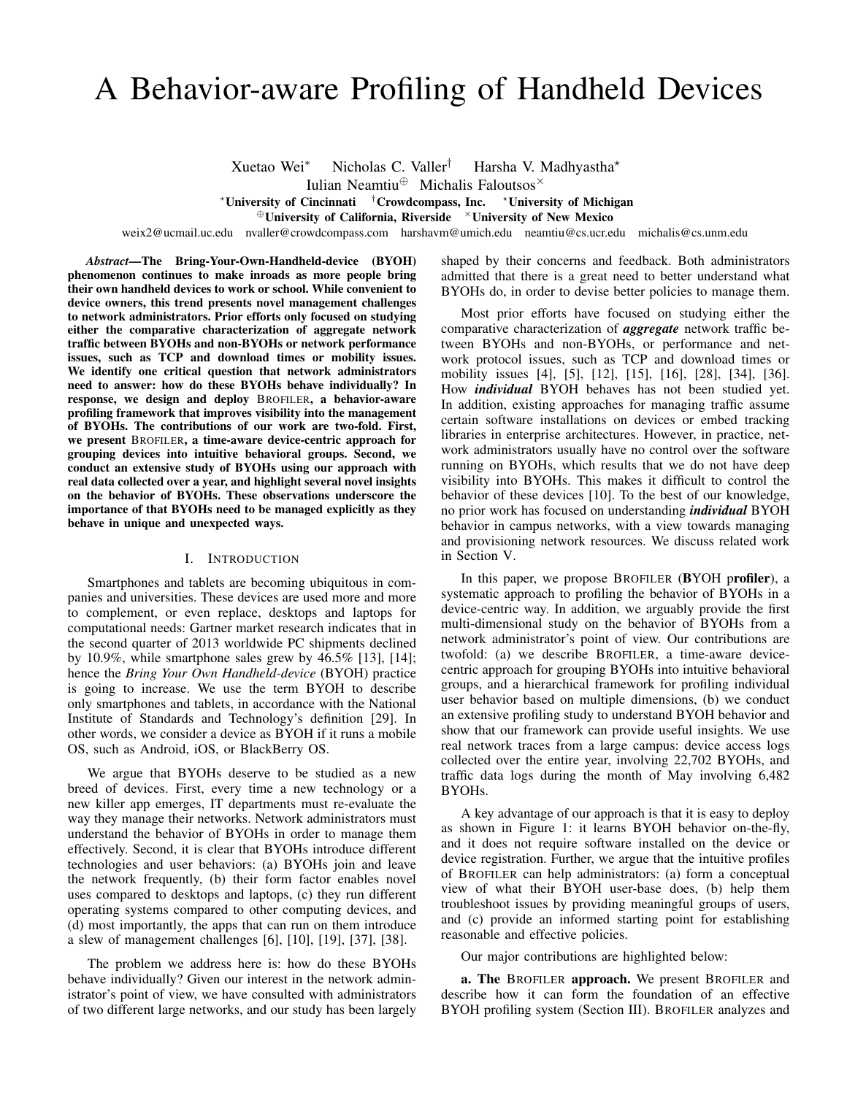# A Behavior-aware Profiling of Handheld Devices

Xuetao Wei<sup>∗</sup> Nicholas C. Valler† Harsha V. Madhyastha?

Iulian Neamtiu<sup>⊕</sup> Michalis Faloutsos<sup>×</sup>

\*University of Cincinnati <sup>†</sup>Crowdcompass, Inc. \*University of Michigan

 $\oplus$ University of California, Riverside  $\rightarrow$  University of New Mexico

weix2@ucmail.uc.edu nvaller@crowdcompass.com harshavm@umich.edu neamtiu@cs.ucr.edu michalis@cs.unm.edu

*Abstract*—The Bring-Your-Own-Handheld-device (BYOH) phenomenon continues to make inroads as more people bring their own handheld devices to work or school. While convenient to device owners, this trend presents novel management challenges to network administrators. Prior efforts only focused on studying either the comparative characterization of aggregate network traffic between BYOHs and non-BYOHs or network performance issues, such as TCP and download times or mobility issues. We identify one critical question that network administrators need to answer: how do these BYOHs behave individually? In response, we design and deploy BROFILER, a behavior-aware profiling framework that improves visibility into the management of BYOHs. The contributions of our work are two-fold. First, we present BROFILER, a time-aware device-centric approach for grouping devices into intuitive behavioral groups. Second, we conduct an extensive study of BYOHs using our approach with real data collected over a year, and highlight several novel insights on the behavior of BYOHs. These observations underscore the importance of that BYOHs need to be managed explicitly as they behave in unique and unexpected ways.

#### I. INTRODUCTION

Smartphones and tablets are becoming ubiquitous in companies and universities. These devices are used more and more to complement, or even replace, desktops and laptops for computational needs: Gartner market research indicates that in the second quarter of 2013 worldwide PC shipments declined by 10.9%, while smartphone sales grew by 46.5% [13], [14]; hence the *Bring Your Own Handheld-device* (BYOH) practice is going to increase. We use the term BYOH to describe only smartphones and tablets, in accordance with the National Institute of Standards and Technology's definition [29]. In other words, we consider a device as BYOH if it runs a mobile OS, such as Android, iOS, or BlackBerry OS.

We argue that BYOHs deserve to be studied as a new breed of devices. First, every time a new technology or a new killer app emerges, IT departments must re-evaluate the way they manage their networks. Network administrators must understand the behavior of BYOHs in order to manage them effectively. Second, it is clear that BYOHs introduce different technologies and user behaviors: (a) BYOHs join and leave the network frequently, (b) their form factor enables novel uses compared to desktops and laptops, (c) they run different operating systems compared to other computing devices, and (d) most importantly, the apps that can run on them introduce a slew of management challenges [6], [10], [19], [37], [38].

The problem we address here is: how do these BYOHs behave individually? Given our interest in the network administrator's point of view, we have consulted with administrators of two different large networks, and our study has been largely shaped by their concerns and feedback. Both administrators admitted that there is a great need to better understand what BYOHs do, in order to devise better policies to manage them.

Most prior efforts have focused on studying either the comparative characterization of *aggregate* network traffic between BYOHs and non-BYOHs, or performance and network protocol issues, such as TCP and download times or mobility issues [4], [5], [12], [15], [16], [28], [34], [36]. How *individual* BYOH behaves has not been studied yet. In addition, existing approaches for managing traffic assume certain software installations on devices or embed tracking libraries in enterprise architectures. However, in practice, network administrators usually have no control over the software running on BYOHs, which results that we do not have deep visibility into BYOHs. This makes it difficult to control the behavior of these devices [10]. To the best of our knowledge, no prior work has focused on understanding *individual* BYOH behavior in campus networks, with a view towards managing and provisioning network resources. We discuss related work in Section V.

In this paper, we propose BROFILER (BYOH profiler), a systematic approach to profiling the behavior of BYOHs in a device-centric way. In addition, we arguably provide the first multi-dimensional study on the behavior of BYOHs from a network administrator's point of view. Our contributions are twofold: (a) we describe BROFILER, a time-aware devicecentric approach for grouping BYOHs into intuitive behavioral groups, and a hierarchical framework for profiling individual user behavior based on multiple dimensions, (b) we conduct an extensive profiling study to understand BYOH behavior and show that our framework can provide useful insights. We use real network traces from a large campus: device access logs collected over the entire year, involving 22,702 BYOHs, and traffic data logs during the month of May involving 6,482 BYOHs.

A key advantage of our approach is that it is easy to deploy as shown in Figure 1: it learns BYOH behavior on-the-fly, and it does not require software installed on the device or device registration. Further, we argue that the intuitive profiles of BROFILER can help administrators: (a) form a conceptual view of what their BYOH user-base does, (b) help them troubleshoot issues by providing meaningful groups of users, and (c) provide an informed starting point for establishing reasonable and effective policies.

Our major contributions are highlighted below:

a. The BROFILER approach. We present BROFILER and describe how it can form the foundation of an effective BYOH profiling system (Section III). BROFILER analyzes and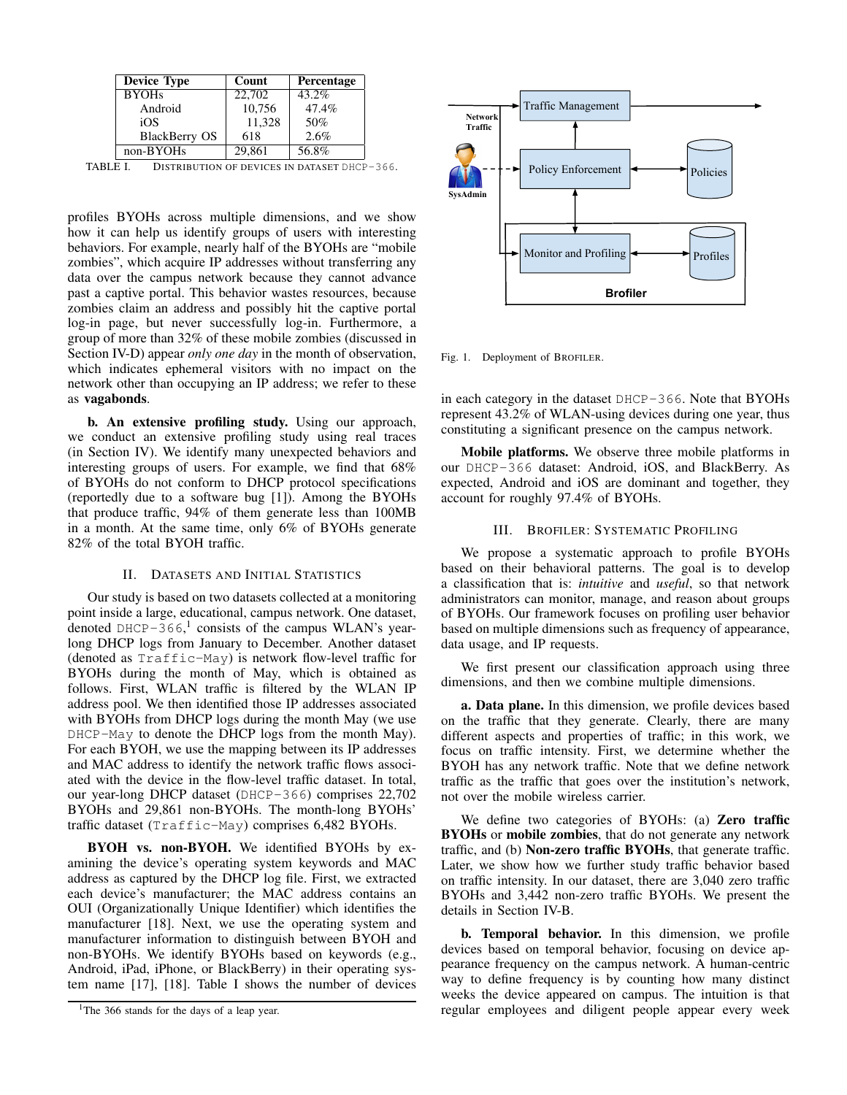| <b>Device Type</b>   | Count  | Percentage |
|----------------------|--------|------------|
| <b>BYOHs</b>         | 22,702 | 43.2%      |
| Android              | 10,756 | 47.4%      |
| iOS                  | 11,328 | 50%        |
| <b>BlackBerry OS</b> | 618    | 2.6%       |
| non-BYOHs            | 29.861 | 56.8%      |

TABLE I. DISTRIBUTION OF DEVICES IN DATASET DHCP-366.

profiles BYOHs across multiple dimensions, and we show how it can help us identify groups of users with interesting behaviors. For example, nearly half of the BYOHs are "mobile zombies", which acquire IP addresses without transferring any data over the campus network because they cannot advance past a captive portal. This behavior wastes resources, because zombies claim an address and possibly hit the captive portal log-in page, but never successfully log-in. Furthermore, a group of more than 32% of these mobile zombies (discussed in Section IV-D) appear *only one day* in the month of observation, which indicates ephemeral visitors with no impact on the network other than occupying an IP address; we refer to these as vagabonds.

b. An extensive profiling study. Using our approach, we conduct an extensive profiling study using real traces (in Section IV). We identify many unexpected behaviors and interesting groups of users. For example, we find that 68% of BYOHs do not conform to DHCP protocol specifications (reportedly due to a software bug [1]). Among the BYOHs that produce traffic, 94% of them generate less than 100MB in a month. At the same time, only 6% of BYOHs generate 82% of the total BYOH traffic.

# II. DATASETS AND INITIAL STATISTICS

Our study is based on two datasets collected at a monitoring point inside a large, educational, campus network. One dataset, denoted DHCP $-366$ ,<sup>1</sup> consists of the campus WLAN's yearlong DHCP logs from January to December. Another dataset (denoted as Traffic-May) is network flow-level traffic for BYOHs during the month of May, which is obtained as follows. First, WLAN traffic is filtered by the WLAN IP address pool. We then identified those IP addresses associated with BYOHs from DHCP logs during the month May (we use DHCP-May to denote the DHCP logs from the month May). For each BYOH, we use the mapping between its IP addresses and MAC address to identify the network traffic flows associated with the device in the flow-level traffic dataset. In total, our year-long DHCP dataset (DHCP-366) comprises 22,702 BYOHs and 29,861 non-BYOHs. The month-long BYOHs' traffic dataset (Traffic-May) comprises 6,482 BYOHs.

BYOH vs. non-BYOH. We identified BYOHs by examining the device's operating system keywords and MAC address as captured by the DHCP log file. First, we extracted each device's manufacturer; the MAC address contains an OUI (Organizationally Unique Identifier) which identifies the manufacturer [18]. Next, we use the operating system and manufacturer information to distinguish between BYOH and non-BYOHs. We identify BYOHs based on keywords (e.g., Android, iPad, iPhone, or BlackBerry) in their operating system name [17], [18]. Table I shows the number of devices



Fig. 1. Deployment of BROFILER.

in each category in the dataset DHCP-366. Note that BYOHs represent 43.2% of WLAN-using devices during one year, thus constituting a significant presence on the campus network.

Mobile platforms. We observe three mobile platforms in our DHCP-366 dataset: Android, iOS, and BlackBerry. As expected, Android and iOS are dominant and together, they account for roughly 97.4% of BYOHs.

#### III. BROFILER: SYSTEMATIC PROFILING

We propose a systematic approach to profile BYOHs based on their behavioral patterns. The goal is to develop a classification that is: *intuitive* and *useful*, so that network administrators can monitor, manage, and reason about groups of BYOHs. Our framework focuses on profiling user behavior based on multiple dimensions such as frequency of appearance, data usage, and IP requests.

We first present our classification approach using three dimensions, and then we combine multiple dimensions.

a. Data plane. In this dimension, we profile devices based on the traffic that they generate. Clearly, there are many different aspects and properties of traffic; in this work, we focus on traffic intensity. First, we determine whether the BYOH has any network traffic. Note that we define network traffic as the traffic that goes over the institution's network, not over the mobile wireless carrier.

We define two categories of BYOHs: (a) Zero traffic BYOHs or mobile zombies, that do not generate any network traffic, and (b) Non-zero traffic BYOHs, that generate traffic. Later, we show how we further study traffic behavior based on traffic intensity. In our dataset, there are 3,040 zero traffic BYOHs and 3,442 non-zero traffic BYOHs. We present the details in Section IV-B.

b. Temporal behavior. In this dimension, we profile devices based on temporal behavior, focusing on device appearance frequency on the campus network. A human-centric way to define frequency is by counting how many distinct weeks the device appeared on campus. The intuition is that regular employees and diligent people appear every week

<sup>&</sup>lt;sup>1</sup>The 366 stands for the days of a leap year.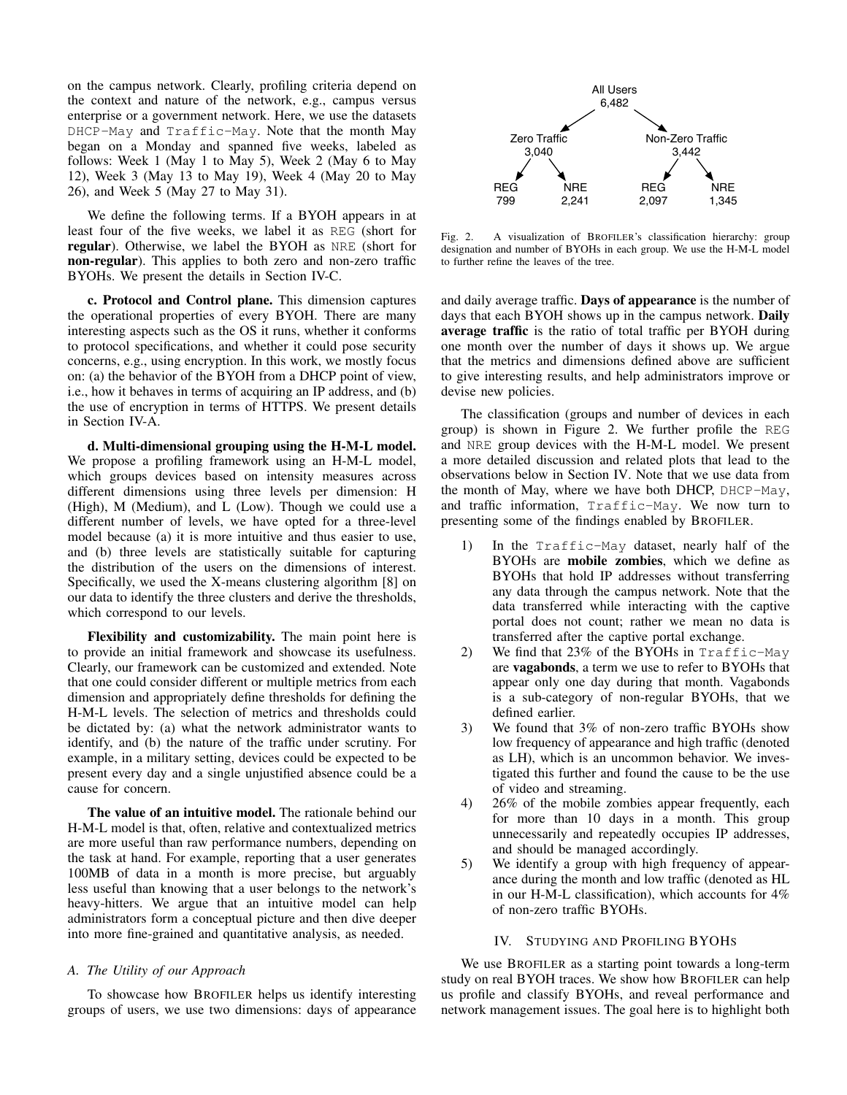on the campus network. Clearly, profiling criteria depend on the context and nature of the network, e.g., campus versus enterprise or a government network. Here, we use the datasets DHCP-May and Traffic-May. Note that the month May began on a Monday and spanned five weeks, labeled as follows: Week 1 (May 1 to May 5), Week 2 (May 6 to May 12), Week 3 (May 13 to May 19), Week 4 (May 20 to May 26), and Week 5 (May 27 to May 31).

We define the following terms. If a BYOH appears in at least four of the five weeks, we label it as REG (short for regular). Otherwise, we label the BYOH as NRE (short for non-regular). This applies to both zero and non-zero traffic BYOHs. We present the details in Section IV-C.

c. Protocol and Control plane. This dimension captures the operational properties of every BYOH. There are many interesting aspects such as the OS it runs, whether it conforms to protocol specifications, and whether it could pose security concerns, e.g., using encryption. In this work, we mostly focus on: (a) the behavior of the BYOH from a DHCP point of view, i.e., how it behaves in terms of acquiring an IP address, and (b) the use of encryption in terms of HTTPS. We present details in Section IV-A.

d. Multi-dimensional grouping using the H-M-L model. We propose a profiling framework using an H-M-L model, which groups devices based on intensity measures across different dimensions using three levels per dimension: H (High), M (Medium), and L (Low). Though we could use a different number of levels, we have opted for a three-level model because (a) it is more intuitive and thus easier to use, and (b) three levels are statistically suitable for capturing the distribution of the users on the dimensions of interest. Specifically, we used the X-means clustering algorithm [8] on our data to identify the three clusters and derive the thresholds, which correspond to our levels.

Flexibility and customizability. The main point here is to provide an initial framework and showcase its usefulness. Clearly, our framework can be customized and extended. Note that one could consider different or multiple metrics from each dimension and appropriately define thresholds for defining the H-M-L levels. The selection of metrics and thresholds could be dictated by: (a) what the network administrator wants to identify, and (b) the nature of the traffic under scrutiny. For example, in a military setting, devices could be expected to be present every day and a single unjustified absence could be a cause for concern.

The value of an intuitive model. The rationale behind our H-M-L model is that, often, relative and contextualized metrics are more useful than raw performance numbers, depending on the task at hand. For example, reporting that a user generates 100MB of data in a month is more precise, but arguably less useful than knowing that a user belongs to the network's heavy-hitters. We argue that an intuitive model can help administrators form a conceptual picture and then dive deeper into more fine-grained and quantitative analysis, as needed.

# *A. The Utility of our Approach*

To showcase how BROFILER helps us identify interesting groups of users, we use two dimensions: days of appearance



A visualization of BROFILER's classification hierarchy: group designation and number of BYOHs in each group. We use the H-M-L model to further refine the leaves of the tree.

and daily average traffic. Days of appearance is the number of days that each BYOH shows up in the campus network. Daily average traffic is the ratio of total traffic per BYOH during one month over the number of days it shows up. We argue that the metrics and dimensions defined above are sufficient to give interesting results, and help administrators improve or devise new policies.

The classification (groups and number of devices in each group) is shown in Figure 2. We further profile the REG and NRE group devices with the H-M-L model. We present a more detailed discussion and related plots that lead to the observations below in Section IV. Note that we use data from the month of May, where we have both DHCP, DHCP-May, and traffic information, Traffic-May. We now turn to presenting some of the findings enabled by BROFILER.

- 1) In the Traffic-May dataset, nearly half of the BYOHs are mobile zombies, which we define as BYOHs that hold IP addresses without transferring any data through the campus network. Note that the data transferred while interacting with the captive portal does not count; rather we mean no data is transferred after the captive portal exchange.
- 2) We find that 23% of the BYOHs in Traffic-May are vagabonds, a term we use to refer to BYOHs that appear only one day during that month. Vagabonds is a sub-category of non-regular BYOHs, that we defined earlier.
- 3) We found that 3% of non-zero traffic BYOHs show low frequency of appearance and high traffic (denoted as LH), which is an uncommon behavior. We investigated this further and found the cause to be the use of video and streaming.
- 4) 26% of the mobile zombies appear frequently, each for more than 10 days in a month. This group unnecessarily and repeatedly occupies IP addresses, and should be managed accordingly.
- 5) We identify a group with high frequency of appearance during the month and low traffic (denoted as HL in our H-M-L classification), which accounts for 4% of non-zero traffic BYOHs.

# IV. STUDYING AND PROFILING BYOHS

We use BROFILER as a starting point towards a long-term study on real BYOH traces. We show how BROFILER can help us profile and classify BYOHs, and reveal performance and network management issues. The goal here is to highlight both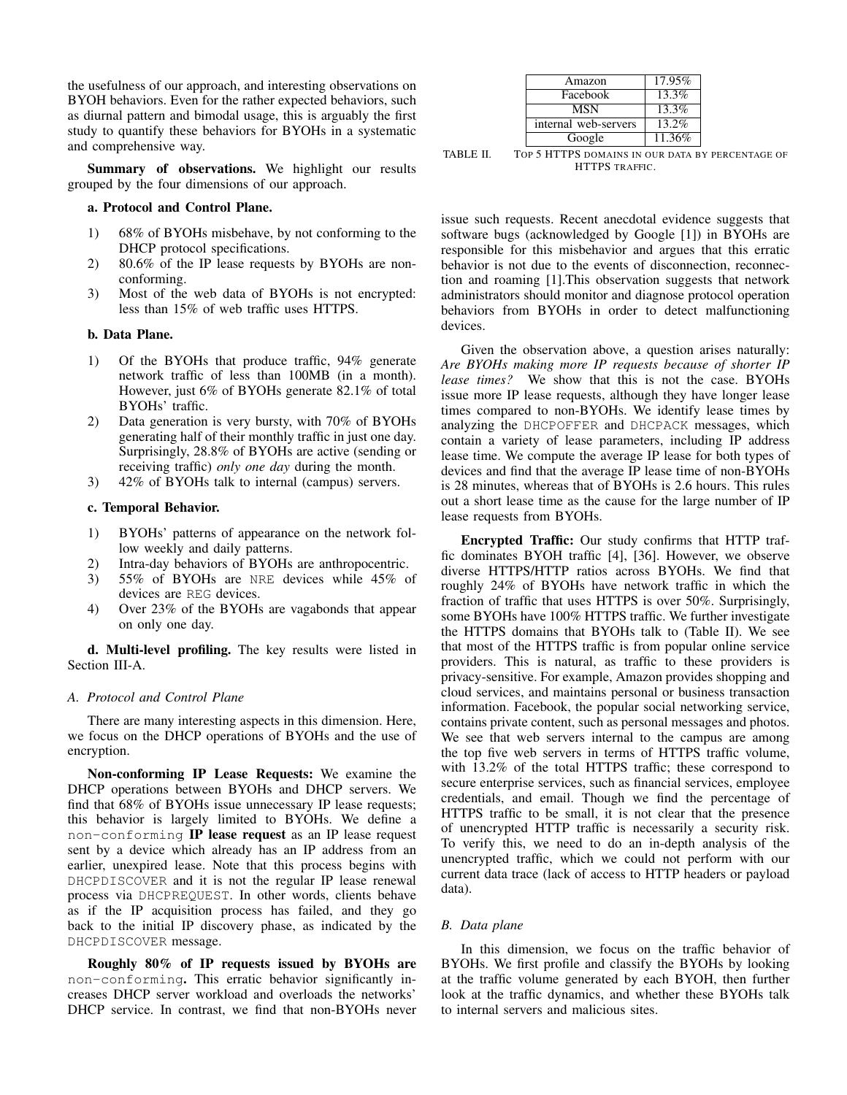the usefulness of our approach, and interesting observations on BYOH behaviors. Even for the rather expected behaviors, such as diurnal pattern and bimodal usage, this is arguably the first study to quantify these behaviors for BYOHs in a systematic and comprehensive way.

Summary of observations. We highlight our results grouped by the four dimensions of our approach.

## a. Protocol and Control Plane.

- 1) 68% of BYOHs misbehave, by not conforming to the DHCP protocol specifications.
- 2) 80.6% of the IP lease requests by BYOHs are nonconforming.
- 3) Most of the web data of BYOHs is not encrypted: less than 15% of web traffic uses HTTPS.

# b. Data Plane.

- 1) Of the BYOHs that produce traffic, 94% generate network traffic of less than 100MB (in a month). However, just 6% of BYOHs generate 82.1% of total BYOHs' traffic.
- 2) Data generation is very bursty, with 70% of BYOHs generating half of their monthly traffic in just one day. Surprisingly, 28.8% of BYOHs are active (sending or receiving traffic) *only one day* during the month.
- 3) 42% of BYOHs talk to internal (campus) servers.

# c. Temporal Behavior.

- 1) BYOHs' patterns of appearance on the network follow weekly and daily patterns.
- 2) Intra-day behaviors of BYOHs are anthropocentric.
- 3) 55% of BYOHs are NRE devices while 45% of devices are REG devices.
- 4) Over 23% of the BYOHs are vagabonds that appear on only one day.

d. Multi-level profiling. The key results were listed in Section III-A.

## *A. Protocol and Control Plane*

There are many interesting aspects in this dimension. Here, we focus on the DHCP operations of BYOHs and the use of encryption.

Non-conforming IP Lease Requests: We examine the DHCP operations between BYOHs and DHCP servers. We find that 68% of BYOHs issue unnecessary IP lease requests; this behavior is largely limited to BYOHs. We define a non-conforming IP lease request as an IP lease request sent by a device which already has an IP address from an earlier, unexpired lease. Note that this process begins with DHCPDISCOVER and it is not the regular IP lease renewal process via DHCPREQUEST. In other words, clients behave as if the IP acquisition process has failed, and they go back to the initial IP discovery phase, as indicated by the DHCPDISCOVER message.

Roughly 80% of IP requests issued by BYOHs are non-conforming. This erratic behavior significantly increases DHCP server workload and overloads the networks' DHCP service. In contrast, we find that non-BYOHs never

| Amazon               | 17.95%   |
|----------------------|----------|
| Facebook             | $13.3\%$ |
| <b>MSN</b>           | $13.3\%$ |
| internal web-servers | 13.2%    |
| Google               | 11.36%   |

TABLE II. TOP 5 HTTPS DOMAINS IN OUR DATA BY PERCENTAGE OF HTTPS TRAFFIC.

issue such requests. Recent anecdotal evidence suggests that software bugs (acknowledged by Google [1]) in BYOHs are responsible for this misbehavior and argues that this erratic behavior is not due to the events of disconnection, reconnection and roaming [1].This observation suggests that network administrators should monitor and diagnose protocol operation behaviors from BYOHs in order to detect malfunctioning devices.

Given the observation above, a question arises naturally: *Are BYOHs making more IP requests because of shorter IP lease times?* We show that this is not the case. BYOHs issue more IP lease requests, although they have longer lease times compared to non-BYOHs. We identify lease times by analyzing the DHCPOFFER and DHCPACK messages, which contain a variety of lease parameters, including IP address lease time. We compute the average IP lease for both types of devices and find that the average IP lease time of non-BYOHs is 28 minutes, whereas that of BYOHs is 2.6 hours. This rules out a short lease time as the cause for the large number of IP lease requests from BYOHs.

Encrypted Traffic: Our study confirms that HTTP traffic dominates BYOH traffic [4], [36]. However, we observe diverse HTTPS/HTTP ratios across BYOHs. We find that roughly 24% of BYOHs have network traffic in which the fraction of traffic that uses HTTPS is over 50%. Surprisingly, some BYOHs have 100% HTTPS traffic. We further investigate the HTTPS domains that BYOHs talk to (Table II). We see that most of the HTTPS traffic is from popular online service providers. This is natural, as traffic to these providers is privacy-sensitive. For example, Amazon provides shopping and cloud services, and maintains personal or business transaction information. Facebook, the popular social networking service, contains private content, such as personal messages and photos. We see that web servers internal to the campus are among the top five web servers in terms of HTTPS traffic volume, with 13.2% of the total HTTPS traffic; these correspond to secure enterprise services, such as financial services, employee credentials, and email. Though we find the percentage of HTTPS traffic to be small, it is not clear that the presence of unencrypted HTTP traffic is necessarily a security risk. To verify this, we need to do an in-depth analysis of the unencrypted traffic, which we could not perform with our current data trace (lack of access to HTTP headers or payload data).

# *B. Data plane*

In this dimension, we focus on the traffic behavior of BYOHs. We first profile and classify the BYOHs by looking at the traffic volume generated by each BYOH, then further look at the traffic dynamics, and whether these BYOHs talk to internal servers and malicious sites.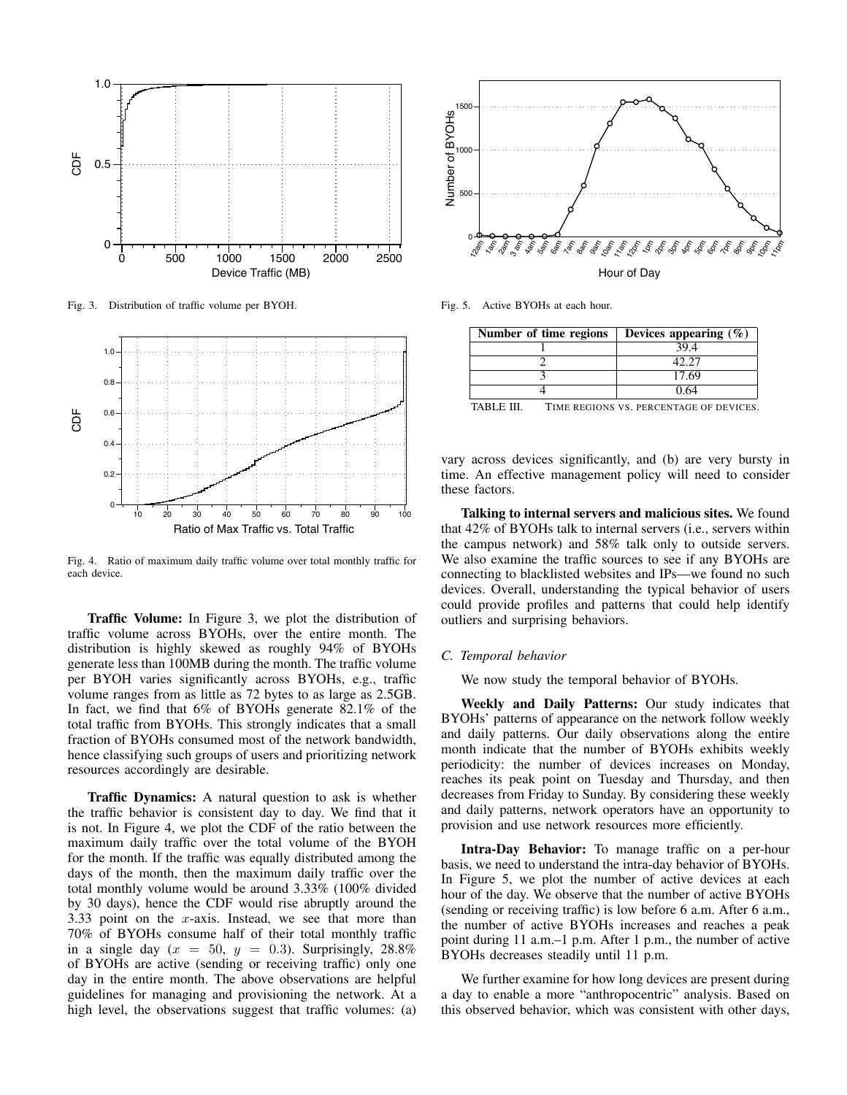

Fig. 3. Distribution of traffic volume per BYOH.



Fig. 4. Ratio of maximum daily traffic volume over total monthly traffic for each device.

Traffic Volume: In Figure 3, we plot the distribution of traffic volume across BYOHs, over the entire month. The distribution is highly skewed as roughly 94% of BYOHs generate less than 100MB during the month. The traffic volume per BYOH varies significantly across BYOHs, e.g., traffic volume ranges from as little as 72 bytes to as large as 2.5GB. In fact, we find that 6% of BYOHs generate 82.1% of the total traffic from BYOHs. This strongly indicates that a small fraction of BYOHs consumed most of the network bandwidth, hence classifying such groups of users and prioritizing network resources accordingly are desirable.

Traffic Dynamics: A natural question to ask is whether the traffic behavior is consistent day to day. We find that it is not. In Figure 4, we plot the CDF of the ratio between the maximum daily traffic over the total volume of the BYOH for the month. If the traffic was equally distributed among the days of the month, then the maximum daily traffic over the total monthly volume would be around 3.33% (100% divided by 30 days), hence the CDF would rise abruptly around the 3.33 point on the  $x$ -axis. Instead, we see that more than 70% of BYOHs consume half of their total monthly traffic in a single day  $(x = 50, y = 0.3)$ . Surprisingly, 28.8% of BYOHs are active (sending or receiving traffic) only one day in the entire month. The above observations are helpful guidelines for managing and provisioning the network. At a high level, the observations suggest that traffic volumes: (a)



Fig. 5. Active BYOHs at each hour.

| Number of time regions | Devices appearing $(\% )$ |
|------------------------|---------------------------|
|                        | -39.4                     |
|                        | 42.27                     |
|                        | 17.69                     |
|                        |                           |

TABLE III. TIME REGIONS VS. PERCENTAGE OF DEVICES.

vary across devices significantly, and (b) are very bursty in time. An effective management policy will need to consider these factors.

Talking to internal servers and malicious sites. We found that 42% of BYOHs talk to internal servers (i.e., servers within the campus network) and 58% talk only to outside servers. We also examine the traffic sources to see if any BYOHs are connecting to blacklisted websites and IPs—we found no such devices. Overall, understanding the typical behavior of users could provide profiles and patterns that could help identify outliers and surprising behaviors.

#### *C. Temporal behavior*

We now study the temporal behavior of BYOHs.

Weekly and Daily Patterns: Our study indicates that BYOHs' patterns of appearance on the network follow weekly and daily patterns. Our daily observations along the entire month indicate that the number of BYOHs exhibits weekly periodicity: the number of devices increases on Monday, reaches its peak point on Tuesday and Thursday, and then decreases from Friday to Sunday. By considering these weekly and daily patterns, network operators have an opportunity to provision and use network resources more efficiently.

Intra-Day Behavior: To manage traffic on a per-hour basis, we need to understand the intra-day behavior of BYOHs. In Figure 5, we plot the number of active devices at each hour of the day. We observe that the number of active BYOHs (sending or receiving traffic) is low before 6 a.m. After 6 a.m., the number of active BYOHs increases and reaches a peak point during 11 a.m.–1 p.m. After 1 p.m., the number of active BYOHs decreases steadily until 11 p.m.

We further examine for how long devices are present during a day to enable a more "anthropocentric" analysis. Based on this observed behavior, which was consistent with other days,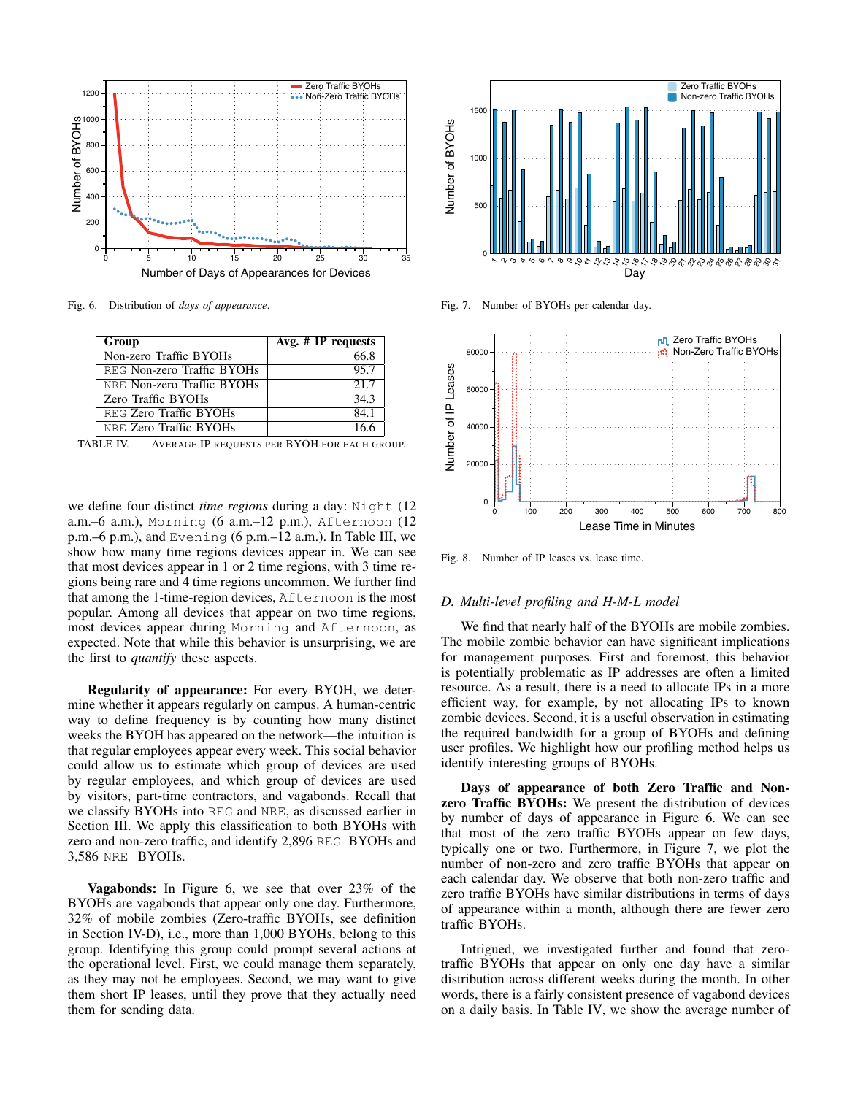

Fig. 6. Distribution of *days of appearance*.

| Group                      | Avg. $# IP$ requests |
|----------------------------|----------------------|
| Non-zero Traffic BYOHs     | 66 8                 |
| REG Non-zero Traffic BYOHs | 95.7                 |
| NRE Non-zero Traffic BYOHs | 21.7                 |
| Zero Traffic BYOHs         | 34.3                 |
| REG Zero Traffic BYOHs     | 84.1                 |
| NRE Zero Traffic BYOHs     | 166                  |

TABLE IV. AVERAGE IP REQUESTS PER BYOH FOR EACH GROUP.

we define four distinct *time regions* during a day: Night (12 a.m.–6 a.m.), Morning (6 a.m.–12 p.m.), Afternoon (12 p.m.–6 p.m.), and Evening (6 p.m.–12 a.m.). In Table III, we show how many time regions devices appear in. We can see that most devices appear in 1 or 2 time regions, with 3 time regions being rare and 4 time regions uncommon. We further find that among the 1-time-region devices, Afternoon is the most popular. Among all devices that appear on two time regions, most devices appear during Morning and Afternoon, as expected. Note that while this behavior is unsurprising, we are the first to *quantify* these aspects.

Regularity of appearance: For every BYOH, we determine whether it appears regularly on campus. A human-centric way to define frequency is by counting how many distinct weeks the BYOH has appeared on the network—the intuition is that regular employees appear every week. This social behavior could allow us to estimate which group of devices are used by regular employees, and which group of devices are used by visitors, part-time contractors, and vagabonds. Recall that we classify BYOHs into REG and NRE, as discussed earlier in Section III. We apply this classification to both BYOHs with zero and non-zero traffic, and identify 2,896 REG BYOHs and 3,586 NRE BYOHs.

Vagabonds: In Figure 6, we see that over 23% of the BYOHs are vagabonds that appear only one day. Furthermore, 32% of mobile zombies (Zero-traffic BYOHs, see definition in Section IV-D), i.e., more than 1,000 BYOHs, belong to this group. Identifying this group could prompt several actions at the operational level. First, we could manage them separately, as they may not be employees. Second, we may want to give them short IP leases, until they prove that they actually need them for sending data.



Fig. 7. Number of BYOHs per calendar day.



Fig. 8. Number of IP leases vs. lease time.

### *D. Multi-level profiling and H-M-L model*

We find that nearly half of the BYOHs are mobile zombies. The mobile zombie behavior can have significant implications for management purposes. First and foremost, this behavior is potentially problematic as IP addresses are often a limited resource. As a result, there is a need to allocate IPs in a more efficient way, for example, by not allocating IPs to known zombie devices. Second, it is a useful observation in estimating the required bandwidth for a group of BYOHs and defining user profiles. We highlight how our profiling method helps us identify interesting groups of BYOHs.

Days of appearance of both Zero Traffic and Nonzero Traffic BYOHs: We present the distribution of devices by number of days of appearance in Figure 6. We can see that most of the zero traffic BYOHs appear on few days, typically one or two. Furthermore, in Figure 7, we plot the number of non-zero and zero traffic BYOHs that appear on each calendar day. We observe that both non-zero traffic and zero traffic BYOHs have similar distributions in terms of days of appearance within a month, although there are fewer zero traffic BYOHs.

Intrigued, we investigated further and found that zerotraffic BYOHs that appear on only one day have a similar distribution across different weeks during the month. In other words, there is a fairly consistent presence of vagabond devices on a daily basis. In Table IV, we show the average number of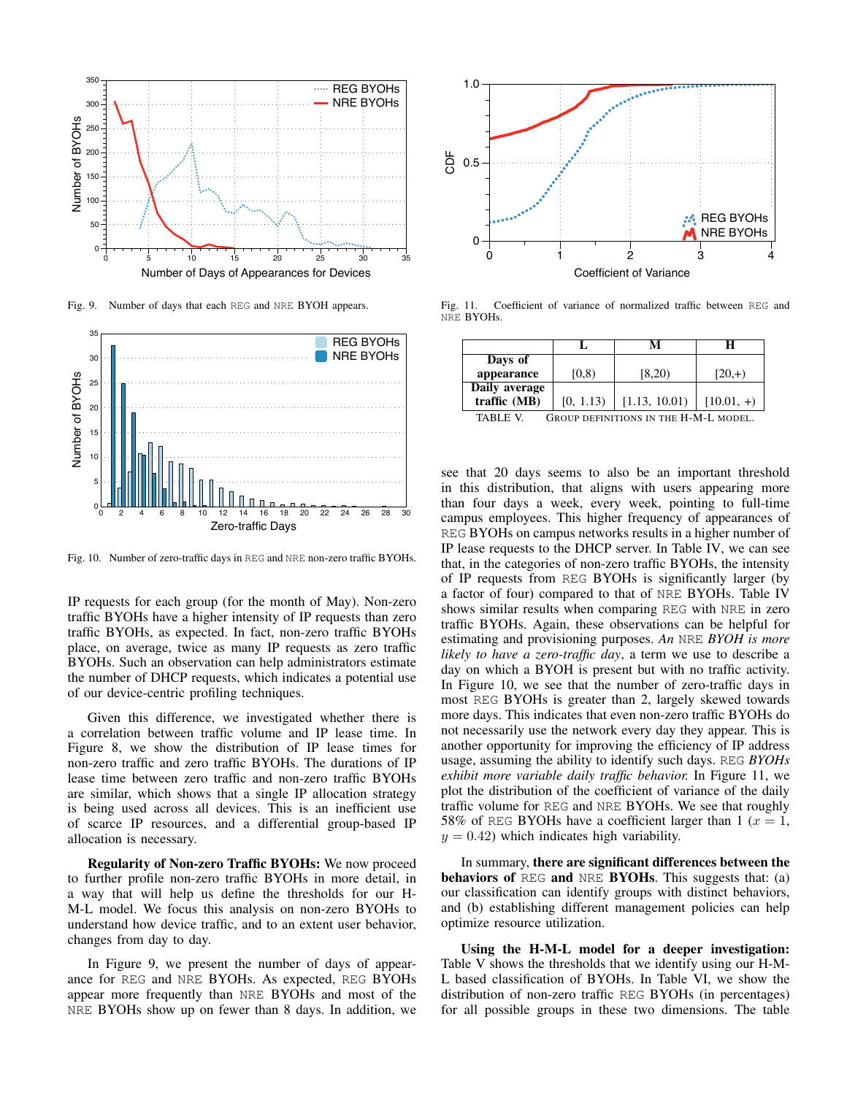

Fig. 9. Number of days that each REG and NRE BYOH appears.



Fig. 10. Number of zero-traffic days in REG and NRE non-zero traffic BYOHs.

IP requests for each group (for the month of May). Non-zero traffic BYOHs have a higher intensity of IP requests than zero traffic BYOHs, as expected. In fact, non-zero traffic BYOHs place, on average, twice as many IP requests as zero traffic BYOHs. Such an observation can help administrators estimate the number of DHCP requests, which indicates a potential use of our device-centric profiling techniques.

Given this difference, we investigated whether there is a correlation between traffic volume and IP lease time. In Figure 8, we show the distribution of IP lease times for non-zero traffic and zero traffic BYOHs. The durations of IP lease time between zero traffic and non-zero traffic BYOHs are similar, which shows that a single IP allocation strategy is being used across all devices. This is an inefficient use of scarce IP resources, and a differential group-based IP allocation is necessary.

Regularity of Non-zero Traffic BYOHs: We now proceed to further profile non-zero traffic BYOHs in more detail, in a way that will help us define the thresholds for our H-M-L model. We focus this analysis on non-zero BYOHs to understand how device traffic, and to an extent user behavior, changes from day to day.

In Figure 9, we present the number of days of appearance for REG and NRE BYOHs. As expected, REG BYOHs appear more frequently than NRE BYOHs and most of the



Fig. 11. Coefficient of variance of normalized traffic between REG and NRE BYOHs.

| Days of                                                                                                                                                                                                                                                                                                                                                                                                                   |           |               |              |
|---------------------------------------------------------------------------------------------------------------------------------------------------------------------------------------------------------------------------------------------------------------------------------------------------------------------------------------------------------------------------------------------------------------------------|-----------|---------------|--------------|
| appearance                                                                                                                                                                                                                                                                                                                                                                                                                | (0,8)     | (8,20)        | $[20, +)$    |
| Daily average                                                                                                                                                                                                                                                                                                                                                                                                             |           |               |              |
| traffic $(MB)$                                                                                                                                                                                                                                                                                                                                                                                                            | [0, 1.13) | [1.13, 10.01) | $[10.01, +)$ |
| T <sub>1</sub> T T T T<br>$\alpha$ - $\alpha$ . $\alpha$ - $\alpha$ - $\alpha$ - $\alpha$ - $\alpha$ - $\alpha$ - $\alpha$ - $\alpha$ - $\alpha$ - $\alpha$ - $\alpha$ - $\alpha$ - $\alpha$ - $\alpha$ - $\alpha$ - $\alpha$ - $\alpha$ - $\alpha$ - $\alpha$ - $\alpha$ - $\alpha$ - $\alpha$ - $\alpha$ - $\alpha$ - $\alpha$ - $\alpha$ - $\alpha$ - $\alpha$ - $\alpha$ - $\alpha$<br><b>NO ALCOHOL: NO ALCOHOL:</b> |           |               |              |

TABLE V. GROUP DEFINITIONS IN THE H-M-L MODEL.

The state of the state of the state of the state of the state of the state of the state of the state of the state of the state of the state of the state of the state of the state of the state of the state of the state of see that 20 days seems to also be an important threshold in this distribution, that aligns with users appearing more than four days a week, every week, pointing to full-time campus employees. This higher frequency of appearances of REG BYOHs on campus networks results in a higher number of IP lease requests to the DHCP server. In Table IV, we can see that, in the categories of non-zero traffic BYOHs, the intensity of IP requests from REG BYOHs is significantly larger (by a factor of four) compared to that of NRE BYOHs. Table IV shows similar results when comparing REG with NRE in zero traffic BYOHs. Again, these observations can be helpful for estimating and provisioning purposes. *An* NRE *BYOH is more likely to have a zero-traffic day*, a term we use to describe a day on which a BYOH is present but with no traffic activity. In Figure 10, we see that the number of zero-traffic days in most REG BYOHs is greater than 2, largely skewed towards more days. This indicates that even non-zero traffic BYOHs do not necessarily use the network every day they appear. This is another opportunity for improving the efficiency of IP address usage, assuming the ability to identify such days. REG *BYOHs exhibit more variable daily traffic behavior.* In Figure 11, we plot the distribution of the coefficient of variance of the daily traffic volume for REG and NRE BYOHs. We see that roughly 58% of REG BYOHs have a coefficient larger than 1 ( $x = 1$ ,  $y = 0.42$ ) which indicates high variability.

In summary, there are significant differences between the behaviors of REG and NRE BYOHs. This suggests that: (a) our classification can identify groups with distinct behaviors, and (b) establishing different management policies can help optimize resource utilization.

Using the H-M-L model for a deeper investigation: Table V shows the thresholds that we identify using our H-M-L based classification of BYOHs. In Table VI, we show the distribution of non-zero traffic REG BYOHs (in percentages) for all possible groups in these two dimensions. The table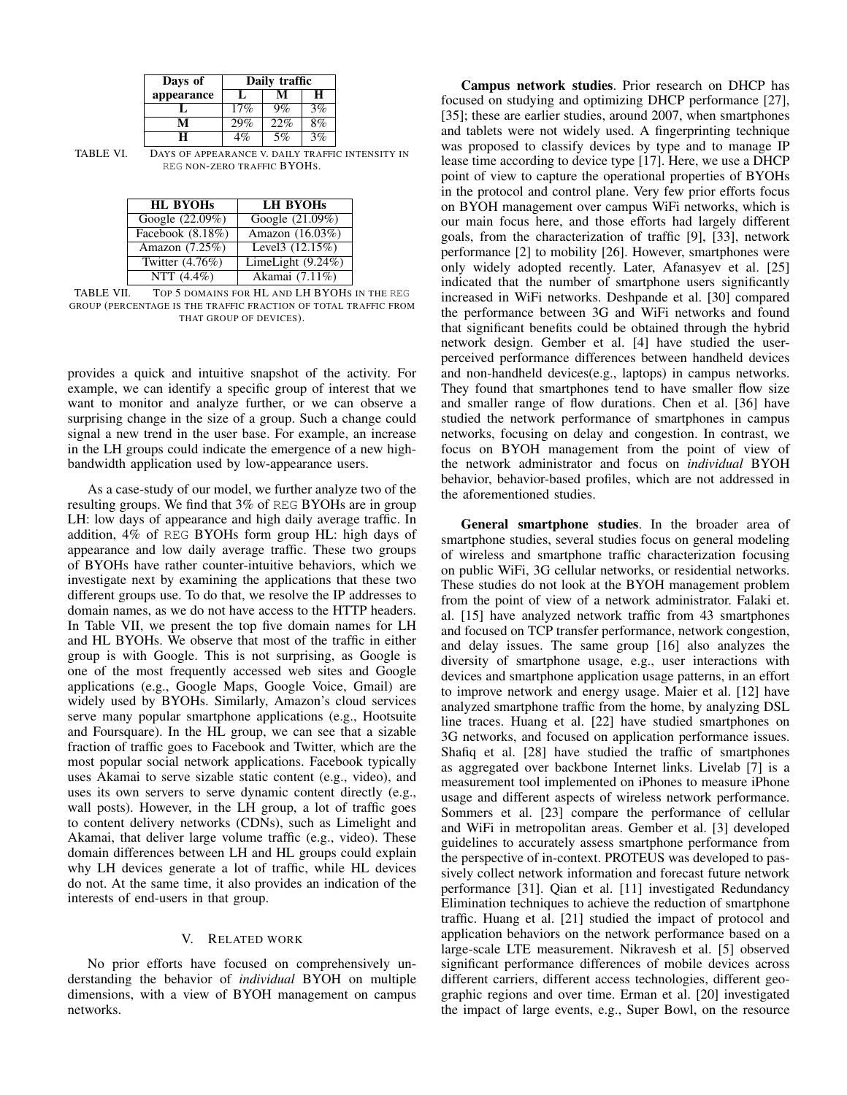| Days of    | Daily traffic |     |    |
|------------|---------------|-----|----|
| appearance |               |     | н  |
|            | 17%           | 9%  | 3% |
|            | 29%           | 22% | 8% |
| H          | 4%            | 5%  | 3% |

TABLE VI. DAYS OF APPEARANCE V. DAILY TRAFFIC INTENSITY IN REG NON-ZERO TRAFFIC BYOHS.

| <b>HL BYOHs</b>     | <b>LH BYOHs</b>               |
|---------------------|-------------------------------|
| Google (22.09%)     | Google (21.09%)               |
| Facebook $(8.18\%)$ | Amazon $(16.03\%)$            |
| Amazon $(7.25\%)$   | Level <sub>3</sub> $(12.15%)$ |
| Twitter $(4.76\%)$  | LimeLight $(9.24\%)$          |
| NTT $(4.4\%)$       | Akamai (7.11%)                |

TABLE VII. TOP 5 DOMAINS FOR HL AND LH BYOHS IN THE REG GROUP (PERCENTAGE IS THE TRAFFIC FRACTION OF TOTAL TRAFFIC FROM THAT GROUP OF DEVICES).

provides a quick and intuitive snapshot of the activity. For example, we can identify a specific group of interest that we want to monitor and analyze further, or we can observe a surprising change in the size of a group. Such a change could signal a new trend in the user base. For example, an increase in the LH groups could indicate the emergence of a new highbandwidth application used by low-appearance users.

As a case-study of our model, we further analyze two of the resulting groups. We find that 3% of REG BYOHs are in group LH: low days of appearance and high daily average traffic. In addition, 4% of REG BYOHs form group HL: high days of appearance and low daily average traffic. These two groups of BYOHs have rather counter-intuitive behaviors, which we investigate next by examining the applications that these two different groups use. To do that, we resolve the IP addresses to domain names, as we do not have access to the HTTP headers. In Table VII, we present the top five domain names for LH and HL BYOHs. We observe that most of the traffic in either group is with Google. This is not surprising, as Google is one of the most frequently accessed web sites and Google applications (e.g., Google Maps, Google Voice, Gmail) are widely used by BYOHs. Similarly, Amazon's cloud services serve many popular smartphone applications (e.g., Hootsuite and Foursquare). In the HL group, we can see that a sizable fraction of traffic goes to Facebook and Twitter, which are the most popular social network applications. Facebook typically uses Akamai to serve sizable static content (e.g., video), and uses its own servers to serve dynamic content directly (e.g., wall posts). However, in the LH group, a lot of traffic goes to content delivery networks (CDNs), such as Limelight and Akamai, that deliver large volume traffic (e.g., video). These domain differences between LH and HL groups could explain why LH devices generate a lot of traffic, while HL devices do not. At the same time, it also provides an indication of the interests of end-users in that group.

# V. RELATED WORK

No prior efforts have focused on comprehensively understanding the behavior of *individual* BYOH on multiple dimensions, with a view of BYOH management on campus networks.

Campus network studies. Prior research on DHCP has focused on studying and optimizing DHCP performance [27], [35]; these are earlier studies, around 2007, when smartphones and tablets were not widely used. A fingerprinting technique was proposed to classify devices by type and to manage IP lease time according to device type [17]. Here, we use a DHCP point of view to capture the operational properties of BYOHs in the protocol and control plane. Very few prior efforts focus on BYOH management over campus WiFi networks, which is our main focus here, and those efforts had largely different goals, from the characterization of traffic [9], [33], network performance [2] to mobility [26]. However, smartphones were only widely adopted recently. Later, Afanasyev et al. [25] indicated that the number of smartphone users significantly increased in WiFi networks. Deshpande et al. [30] compared the performance between 3G and WiFi networks and found that significant benefits could be obtained through the hybrid network design. Gember et al. [4] have studied the userperceived performance differences between handheld devices and non-handheld devices(e.g., laptops) in campus networks. They found that smartphones tend to have smaller flow size and smaller range of flow durations. Chen et al. [36] have studied the network performance of smartphones in campus networks, focusing on delay and congestion. In contrast, we focus on BYOH management from the point of view of the network administrator and focus on *individual* BYOH behavior, behavior-based profiles, which are not addressed in the aforementioned studies.

General smartphone studies. In the broader area of smartphone studies, several studies focus on general modeling of wireless and smartphone traffic characterization focusing on public WiFi, 3G cellular networks, or residential networks. These studies do not look at the BYOH management problem from the point of view of a network administrator. Falaki et. al. [15] have analyzed network traffic from 43 smartphones and focused on TCP transfer performance, network congestion, and delay issues. The same group [16] also analyzes the diversity of smartphone usage, e.g., user interactions with devices and smartphone application usage patterns, in an effort to improve network and energy usage. Maier et al. [12] have analyzed smartphone traffic from the home, by analyzing DSL line traces. Huang et al. [22] have studied smartphones on 3G networks, and focused on application performance issues. Shafiq et al. [28] have studied the traffic of smartphones as aggregated over backbone Internet links. Livelab [7] is a measurement tool implemented on iPhones to measure iPhone usage and different aspects of wireless network performance. Sommers et al. [23] compare the performance of cellular and WiFi in metropolitan areas. Gember et al. [3] developed guidelines to accurately assess smartphone performance from the perspective of in-context. PROTEUS was developed to passively collect network information and forecast future network performance [31]. Qian et al. [11] investigated Redundancy Elimination techniques to achieve the reduction of smartphone traffic. Huang et al. [21] studied the impact of protocol and application behaviors on the network performance based on a large-scale LTE measurement. Nikravesh et al. [5] observed significant performance differences of mobile devices across different carriers, different access technologies, different geographic regions and over time. Erman et al. [20] investigated the impact of large events, e.g., Super Bowl, on the resource